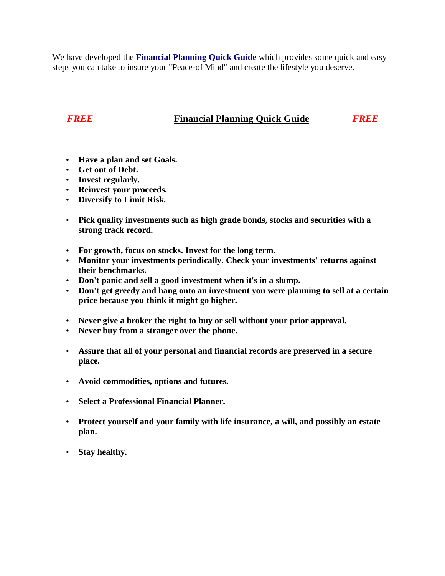We have developed the **Financial Planning Quick Guide** which provides some quick and easy steps you can take to insure your "Peace-of Mind" and create the lifestyle you deserve.

## *FREE* **Financial Planning Quick Guide** *FREE*

- **Have a plan and set Goals.**
- **Get out of Debt.**
- **Invest regularly.**
- **Reinvest your proceeds.**
- **Diversify to Limit Risk.**
- **Pick quality investments such as high grade bonds, stocks and securities with a strong track record.**
- **For growth, focus on stocks. Invest for the long term.**
- **Monitor your investments periodically. Check your investments' returns against their benchmarks.**
- **Don't panic and sell a good investment when it's in a slump.**
- **Don't get greedy and hang onto an investment you were planning to sell at a certain price because you think it might go higher.**
- **Never give a broker the right to buy or sell without your prior approval.**
- **Never buy from a stranger over the phone.**
- **Assure that all of your personal and financial records are preserved in a secure place.**
- **Avoid commodities, options and futures.**
- **Select a Professional Financial Planner.**
- **Protect yourself and your family with life insurance, a will, and possibly an estate plan.**
- **Stay healthy.**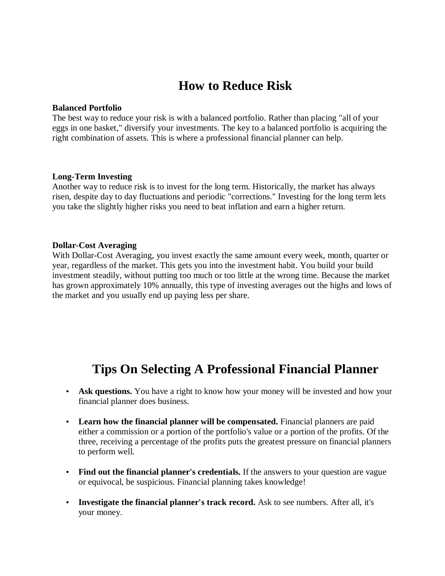# **How to Reduce Risk**

#### **Balanced Portfolio**

The best way to reduce your risk is with a balanced portfolio. Rather than placing "all of your eggs in one basket," diversify your investments. The key to a balanced portfolio is acquiring the right combination of assets. This is where a professional financial planner can help.

### **Long-Term Investing**

Another way to reduce risk is to invest for the long term. Historically, the market has always risen, despite day to day fluctuations and periodic "corrections." Investing for the long term lets you take the slightly higher risks you need to beat inflation and earn a higher return.

#### **Dollar-Cost Averaging**

With Dollar-Cost Averaging, you invest exactly the same amount every week, month, quarter or year, regardless of the market. This gets you into the investment habit. You build your build investment steadily, without putting too much or too little at the wrong time. Because the market has grown approximately 10% annually, this type of investing averages out the highs and lows of the market and you usually end up paying less per share.

## **Tips On Selecting A Professional Financial Planner**

- Ask questions. You have a right to know how your money will be invested and how your financial planner does business.
- **Learn how the financial planner will be compensated.** Financial planners are paid either a commission or a portion of the portfolio's value or a portion of the profits. Of the three, receiving a percentage of the profits puts the greatest pressure on financial planners to perform well.
- Find out the financial planner's credentials. If the answers to your question are vague or equivocal, be suspicious. Financial planning takes knowledge!
- **Investigate the financial planner's track record.** Ask to see numbers. After all, it's your money.